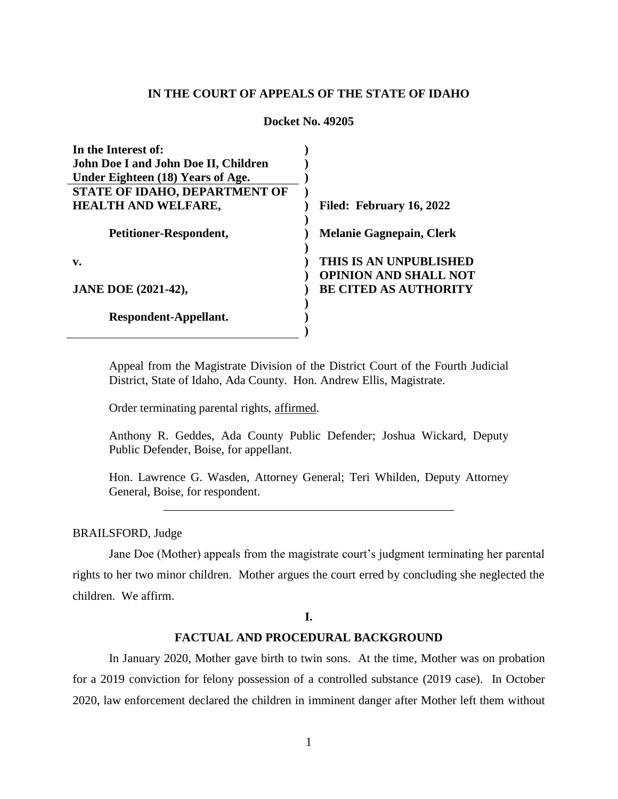### **IN THE COURT OF APPEALS OF THE STATE OF IDAHO**

## **Docket No. 49205**

| In the Interest of:                  |                                 |
|--------------------------------------|---------------------------------|
| John Doe I and John Doe II, Children |                                 |
| Under Eighteen (18) Years of Age.    |                                 |
| STATE OF IDAHO, DEPARTMENT OF        |                                 |
| <b>HEALTH AND WELFARE,</b>           | Filed: February 16, 2022        |
| Petitioner-Respondent,               | <b>Melanie Gagnepain, Clerk</b> |
| v.                                   | THIS IS AN UNPUBLISHED          |
|                                      | <b>OPINION AND SHALL NOT</b>    |
| <b>JANE DOE (2021-42),</b>           | <b>BE CITED AS AUTHORITY</b>    |
|                                      |                                 |
| Respondent-Appellant.                |                                 |
|                                      |                                 |

Appeal from the Magistrate Division of the District Court of the Fourth Judicial District, State of Idaho, Ada County. Hon. Andrew Ellis, Magistrate.

Order terminating parental rights, affirmed.

Anthony R. Geddes, Ada County Public Defender; Joshua Wickard, Deputy Public Defender, Boise, for appellant.

Hon. Lawrence G. Wasden, Attorney General; Teri Whilden, Deputy Attorney General, Boise, for respondent.

\_\_\_\_\_\_\_\_\_\_\_\_\_\_\_\_\_\_\_\_\_\_\_\_\_\_\_\_\_\_\_\_\_\_\_\_\_\_\_\_\_\_\_\_\_\_\_\_

#### BRAILSFORD, Judge

Jane Doe (Mother) appeals from the magistrate court's judgment terminating her parental rights to her two minor children. Mother argues the court erred by concluding she neglected the children. We affirm.

## **I.**

### **FACTUAL AND PROCEDURAL BACKGROUND**

In January 2020, Mother gave birth to twin sons. At the time, Mother was on probation for a 2019 conviction for felony possession of a controlled substance (2019 case). In October 2020, law enforcement declared the children in imminent danger after Mother left them without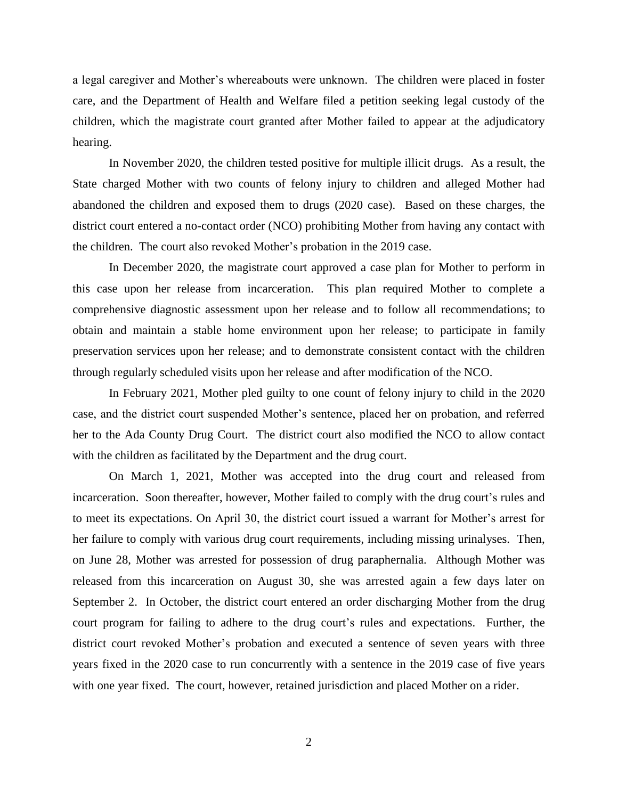a legal caregiver and Mother's whereabouts were unknown. The children were placed in foster care, and the Department of Health and Welfare filed a petition seeking legal custody of the children, which the magistrate court granted after Mother failed to appear at the adjudicatory hearing.

In November 2020, the children tested positive for multiple illicit drugs. As a result, the State charged Mother with two counts of felony injury to children and alleged Mother had abandoned the children and exposed them to drugs (2020 case). Based on these charges, the district court entered a no-contact order (NCO) prohibiting Mother from having any contact with the children. The court also revoked Mother's probation in the 2019 case.

In December 2020, the magistrate court approved a case plan for Mother to perform in this case upon her release from incarceration. This plan required Mother to complete a comprehensive diagnostic assessment upon her release and to follow all recommendations; to obtain and maintain a stable home environment upon her release; to participate in family preservation services upon her release; and to demonstrate consistent contact with the children through regularly scheduled visits upon her release and after modification of the NCO.

In February 2021, Mother pled guilty to one count of felony injury to child in the 2020 case, and the district court suspended Mother's sentence, placed her on probation, and referred her to the Ada County Drug Court. The district court also modified the NCO to allow contact with the children as facilitated by the Department and the drug court.

On March 1, 2021, Mother was accepted into the drug court and released from incarceration. Soon thereafter, however, Mother failed to comply with the drug court's rules and to meet its expectations. On April 30, the district court issued a warrant for Mother's arrest for her failure to comply with various drug court requirements, including missing urinalyses. Then, on June 28, Mother was arrested for possession of drug paraphernalia. Although Mother was released from this incarceration on August 30, she was arrested again a few days later on September 2. In October, the district court entered an order discharging Mother from the drug court program for failing to adhere to the drug court's rules and expectations. Further, the district court revoked Mother's probation and executed a sentence of seven years with three years fixed in the 2020 case to run concurrently with a sentence in the 2019 case of five years with one year fixed. The court, however, retained jurisdiction and placed Mother on a rider.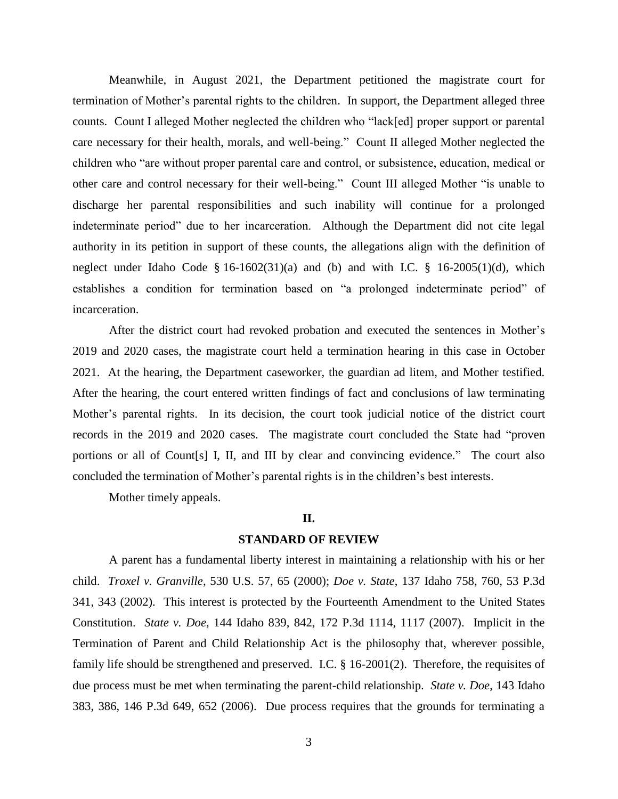Meanwhile, in August 2021, the Department petitioned the magistrate court for termination of Mother's parental rights to the children. In support, the Department alleged three counts. Count I alleged Mother neglected the children who "lack[ed] proper support or parental care necessary for their health, morals, and well-being." Count II alleged Mother neglected the children who "are without proper parental care and control, or subsistence, education, medical or other care and control necessary for their well-being." Count III alleged Mother "is unable to discharge her parental responsibilities and such inability will continue for a prolonged indeterminate period" due to her incarceration. Although the Department did not cite legal authority in its petition in support of these counts, the allegations align with the definition of neglect under Idaho Code  $\S 16-1602(31)(a)$  and (b) and with I.C.  $\S 16-2005(1)(d)$ , which establishes a condition for termination based on "a prolonged indeterminate period" of incarceration.

After the district court had revoked probation and executed the sentences in Mother's 2019 and 2020 cases, the magistrate court held a termination hearing in this case in October 2021. At the hearing, the Department caseworker, the guardian ad litem, and Mother testified. After the hearing, the court entered written findings of fact and conclusions of law terminating Mother's parental rights. In its decision, the court took judicial notice of the district court records in the 2019 and 2020 cases. The magistrate court concluded the State had "proven portions or all of Count[s] I, II, and III by clear and convincing evidence." The court also concluded the termination of Mother's parental rights is in the children's best interests.

Mother timely appeals.

#### **II.**

### **STANDARD OF REVIEW**

A parent has a fundamental liberty interest in maintaining a relationship with his or her child. *Troxel v. Granville*, 530 U.S. 57, 65 (2000); *Doe v. State*, 137 Idaho 758, 760, 53 P.3d 341, 343 (2002). This interest is protected by the Fourteenth Amendment to the United States Constitution. *State v. Doe*, 144 Idaho 839, 842, 172 P.3d 1114, 1117 (2007). Implicit in the Termination of Parent and Child Relationship Act is the philosophy that, wherever possible, family life should be strengthened and preserved. I.C. § 16-2001(2). Therefore, the requisites of due process must be met when terminating the parent-child relationship. *State v. Doe*, 143 Idaho 383, 386, 146 P.3d 649, 652 (2006). Due process requires that the grounds for terminating a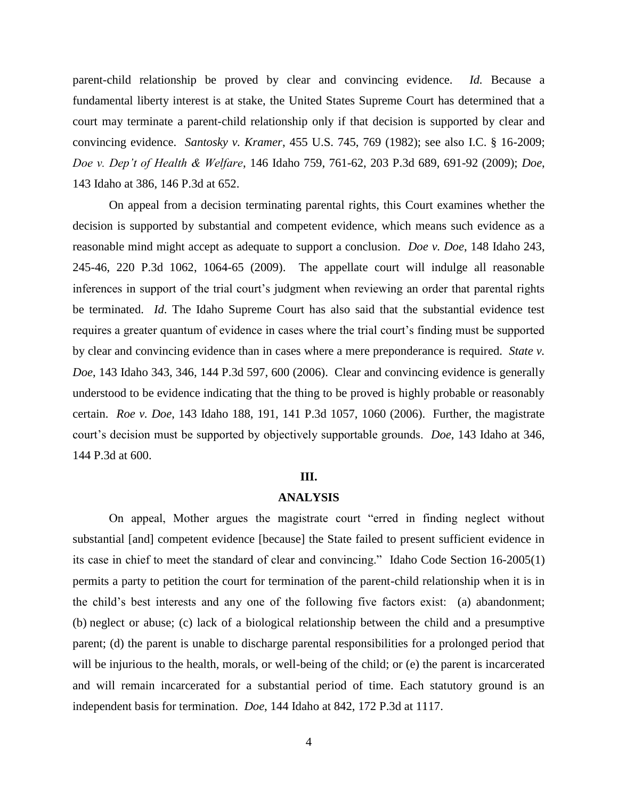parent-child relationship be proved by clear and convincing evidence. *Id.* Because a fundamental liberty interest is at stake, the United States Supreme Court has determined that a court may terminate a parent-child relationship only if that decision is supported by clear and convincing evidence. *Santosky v. Kramer*, 455 U.S. 745, 769 (1982); see also I.C. § 16-2009; *Doe v. Dep't of Health & Welfare*, 146 Idaho 759, 761-62, 203 P.3d 689, 691-92 (2009); *Doe*, 143 Idaho at 386, 146 P.3d at 652.

On appeal from a decision terminating parental rights, this Court examines whether the decision is supported by substantial and competent evidence, which means such evidence as a reasonable mind might accept as adequate to support a conclusion. *Doe v. Doe*, 148 Idaho 243, 245-46, 220 P.3d 1062, 1064-65 (2009). The appellate court will indulge all reasonable inferences in support of the trial court's judgment when reviewing an order that parental rights be terminated. *Id*. The Idaho Supreme Court has also said that the substantial evidence test requires a greater quantum of evidence in cases where the trial court's finding must be supported by clear and convincing evidence than in cases where a mere preponderance is required. *State v. Doe*, 143 Idaho 343, 346, 144 P.3d 597, 600 (2006). Clear and convincing evidence is generally understood to be evidence indicating that the thing to be proved is highly probable or reasonably certain. *Roe v. Doe*, 143 Idaho 188, 191, 141 P.3d 1057, 1060 (2006). Further, the magistrate court's decision must be supported by objectively supportable grounds. *Doe*, 143 Idaho at 346, 144 P.3d at 600.

#### **III.**

#### **ANALYSIS**

On appeal, Mother argues the magistrate court "erred in finding neglect without substantial [and] competent evidence [because] the State failed to present sufficient evidence in its case in chief to meet the standard of clear and convincing." Idaho Code Section 16-2005(1) permits a party to petition the court for termination of the parent-child relationship when it is in the child's best interests and any one of the following five factors exist: (a) abandonment; (b) neglect or abuse; (c) lack of a biological relationship between the child and a presumptive parent; (d) the parent is unable to discharge parental responsibilities for a prolonged period that will be injurious to the health, morals, or well-being of the child; or (e) the parent is incarcerated and will remain incarcerated for a substantial period of time. Each statutory ground is an independent basis for termination. *Doe*, 144 Idaho at 842, 172 P.3d at 1117.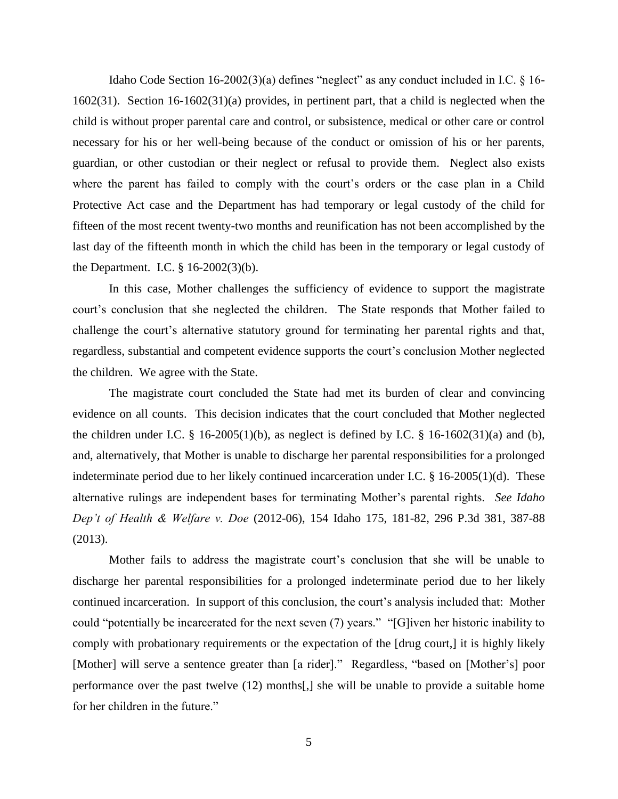Idaho Code Section 16-2002(3)(a) defines "neglect" as any conduct included in I.C. § 16- 1602(31). Section 16-1602(31)(a) provides, in pertinent part, that a child is neglected when the child is without proper parental care and control, or subsistence, medical or other care or control necessary for his or her well-being because of the conduct or omission of his or her parents, guardian, or other custodian or their neglect or refusal to provide them. Neglect also exists where the parent has failed to comply with the court's orders or the case plan in a Child Protective Act case and the Department has had temporary or legal custody of the child for fifteen of the most recent twenty-two months and reunification has not been accomplished by the last day of the fifteenth month in which the child has been in the temporary or legal custody of the Department. I.C. § 16-2002(3)(b).

In this case, Mother challenges the sufficiency of evidence to support the magistrate court's conclusion that she neglected the children. The State responds that Mother failed to challenge the court's alternative statutory ground for terminating her parental rights and that, regardless, substantial and competent evidence supports the court's conclusion Mother neglected the children. We agree with the State.

The magistrate court concluded the State had met its burden of clear and convincing evidence on all counts. This decision indicates that the court concluded that Mother neglected the children under I.C.  $\S$  16-2005(1)(b), as neglect is defined by I.C.  $\S$  16-1602(31)(a) and (b), and, alternatively, that Mother is unable to discharge her parental responsibilities for a prolonged indeterminate period due to her likely continued incarceration under I.C. § 16-2005(1)(d). These alternative rulings are independent bases for terminating Mother's parental rights. *See Idaho Dep't of Health & Welfare v. Doe* (2012-06), 154 Idaho 175, 181-82, 296 P.3d 381, 387-88 (2013).

Mother fails to address the magistrate court's conclusion that she will be unable to discharge her parental responsibilities for a prolonged indeterminate period due to her likely continued incarceration. In support of this conclusion, the court's analysis included that: Mother could "potentially be incarcerated for the next seven (7) years." "[G]iven her historic inability to comply with probationary requirements or the expectation of the [drug court,] it is highly likely [Mother] will serve a sentence greater than [a rider]." Regardless, "based on [Mother's] poor performance over the past twelve (12) months[,] she will be unable to provide a suitable home for her children in the future."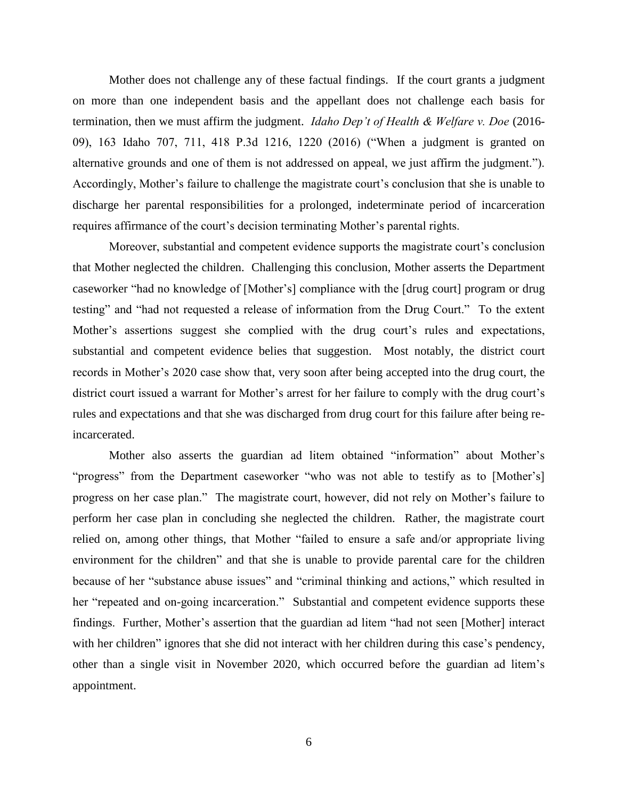Mother does not challenge any of these factual findings. If the court grants a judgment on more than one independent basis and the appellant does not challenge each basis for termination, then we must affirm the judgment. *Idaho Dep't of Health & Welfare v. Doe* (2016- 09), 163 Idaho 707, 711, 418 P.3d 1216, 1220 (2016) ("When a judgment is granted on alternative grounds and one of them is not addressed on appeal, we just affirm the judgment."). Accordingly, Mother's failure to challenge the magistrate court's conclusion that she is unable to discharge her parental responsibilities for a prolonged, indeterminate period of incarceration requires affirmance of the court's decision terminating Mother's parental rights.

Moreover, substantial and competent evidence supports the magistrate court's conclusion that Mother neglected the children. Challenging this conclusion, Mother asserts the Department caseworker "had no knowledge of [Mother's] compliance with the [drug court] program or drug testing" and "had not requested a release of information from the Drug Court." To the extent Mother's assertions suggest she complied with the drug court's rules and expectations, substantial and competent evidence belies that suggestion. Most notably, the district court records in Mother's 2020 case show that, very soon after being accepted into the drug court, the district court issued a warrant for Mother's arrest for her failure to comply with the drug court's rules and expectations and that she was discharged from drug court for this failure after being reincarcerated.

Mother also asserts the guardian ad litem obtained "information" about Mother's "progress" from the Department caseworker "who was not able to testify as to [Mother's] progress on her case plan." The magistrate court, however, did not rely on Mother's failure to perform her case plan in concluding she neglected the children. Rather, the magistrate court relied on, among other things, that Mother "failed to ensure a safe and/or appropriate living environment for the children" and that she is unable to provide parental care for the children because of her "substance abuse issues" and "criminal thinking and actions," which resulted in her "repeated and on-going incarceration." Substantial and competent evidence supports these findings. Further, Mother's assertion that the guardian ad litem "had not seen [Mother] interact with her children" ignores that she did not interact with her children during this case's pendency, other than a single visit in November 2020, which occurred before the guardian ad litem's appointment.